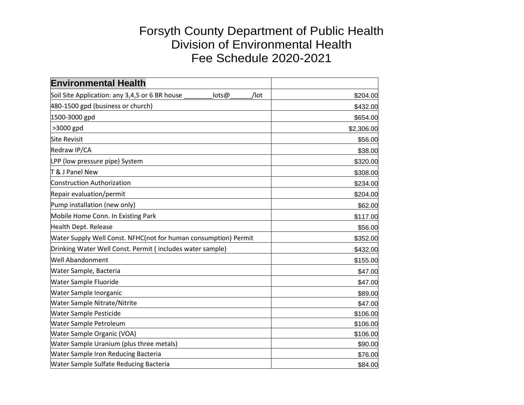## Forsyth County Department of Public Health Division of Environmental Health Fee Schedule 2020-2021

| <b>Environmental Health</b>                                     |            |
|-----------------------------------------------------------------|------------|
| Soil Site Application: any 3,4,5 or 6 BR house<br>lots@<br>/lot | \$204.00   |
| 480-1500 gpd (business or church)                               | \$432.00   |
| 1500-3000 gpd                                                   | \$654.00   |
| >3000 gpd                                                       | \$2,306.00 |
| <b>Site Revisit</b>                                             | \$56.00    |
| Redraw IP/CA                                                    | \$38.00    |
| LPP (low pressure pipe) System                                  | \$320.00   |
| T & J Panel New                                                 | \$308.00   |
| <b>Construction Authorization</b>                               | \$234.00   |
| Repair evaluation/permit                                        | \$204.00   |
| Pump installation (new only)                                    | \$62.00    |
| Mobile Home Conn. In Existing Park                              | \$117.00   |
| Health Dept. Release                                            | \$56.00    |
| Water Supply Well Const. NFHC(not for human consumption) Permit | \$352.00   |
| Drinking Water Well Const. Permit (includes water sample)       | \$432.00   |
| <b>Well Abandonment</b>                                         | \$155.00   |
| Water Sample, Bacteria                                          | \$47.00    |
| <b>Water Sample Fluoride</b>                                    | \$47.00    |
| Water Sample Inorganic                                          | \$89.00    |
| <b>Water Sample Nitrate/Nitrite</b>                             | \$47.00    |
| Water Sample Pesticide                                          | \$106.00   |
| Water Sample Petroleum                                          | \$106.00   |
| Water Sample Organic (VOA)                                      | \$106.00   |
| <b>Water Sample Uranium (plus three metals)</b>                 | \$90.00    |
| <b>Water Sample Iron Reducing Bacteria</b>                      | \$76.00    |
| <b>Water Sample Sulfate Reducing Bacteria</b>                   | \$84.00    |